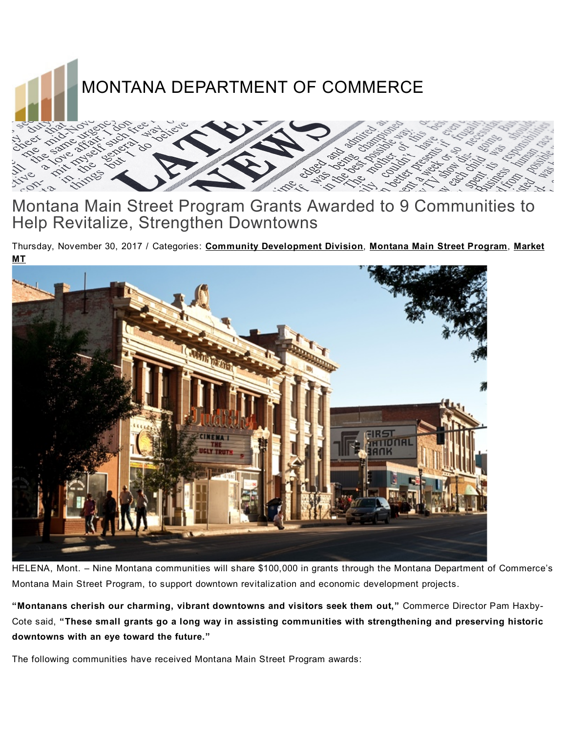

## Montana Main Street Program Grants Awarded to 9 Communities to Help Revitalize, Strengthen Downtowns

Thursday, November 30, 2017 / Categories: Community [Development](http://commerce.mt.gov/News/PressReleases/category/community-development-division) Division, Montana Main Street [Program](http://commerce.mt.gov/News/PressReleases/category/montana-main-street-program), Market MT



HELENA, Mont. – Nine Montana communities will share \$100,000 in grants through the Montana Department of Commerce's Montana Main Street Program, to support downtown revitalization and economic development projects.

"Montanans cherish our charming, vibrant downtowns and visitors seek them out," Commerce Director Pam Haxby-Cote said, "These small grants go a long way in assisting communities with strengthening and preserving historic downtowns with an eye toward the future."

The following communities have received Montana Main Street Program awards: